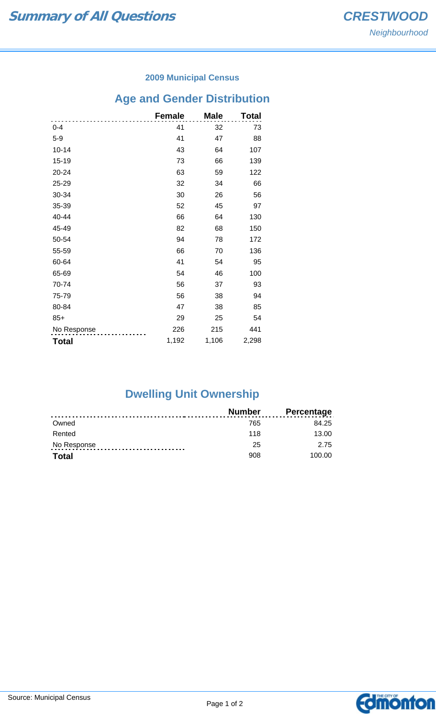#### **2009 Municipal Census**

# **Age and Gender Distribution**

|              | <b>Female</b> | <b>Male</b> | Total |
|--------------|---------------|-------------|-------|
| $0 - 4$      | 41            | 32          | 73    |
| $5-9$        | 41            | 47          | 88    |
| $10 - 14$    | 43            | 64          | 107   |
| 15-19        | 73            | 66          | 139   |
| 20-24        | 63            | 59          | 122   |
| 25-29        | 32            | 34          | 66    |
| 30-34        | 30            | 26          | 56    |
| 35-39        | 52            | 45          | 97    |
| 40-44        | 66            | 64          | 130   |
| 45-49        | 82            | 68          | 150   |
| 50-54        | 94            | 78          | 172   |
| 55-59        | 66            | 70          | 136   |
| 60-64        | 41            | 54          | 95    |
| 65-69        | 54            | 46          | 100   |
| 70-74        | 56            | 37          | 93    |
| 75-79        | 56            | 38          | 94    |
| 80-84        | 47            | 38          | 85    |
| $85+$        | 29            | 25          | 54    |
| No Response  | 226           | 215         | 441   |
| <b>Total</b> | 1,192         | 1,106       | 2,298 |

## **Dwelling Unit Ownership**

|              | <b>Number</b> | <b>Percentage</b> |
|--------------|---------------|-------------------|
| Owned        | 765           | 84.25             |
| Rented       | 118           | 13.00             |
| No Response  | 25            | 2.75              |
| <b>Total</b> | 908           | 100.00            |